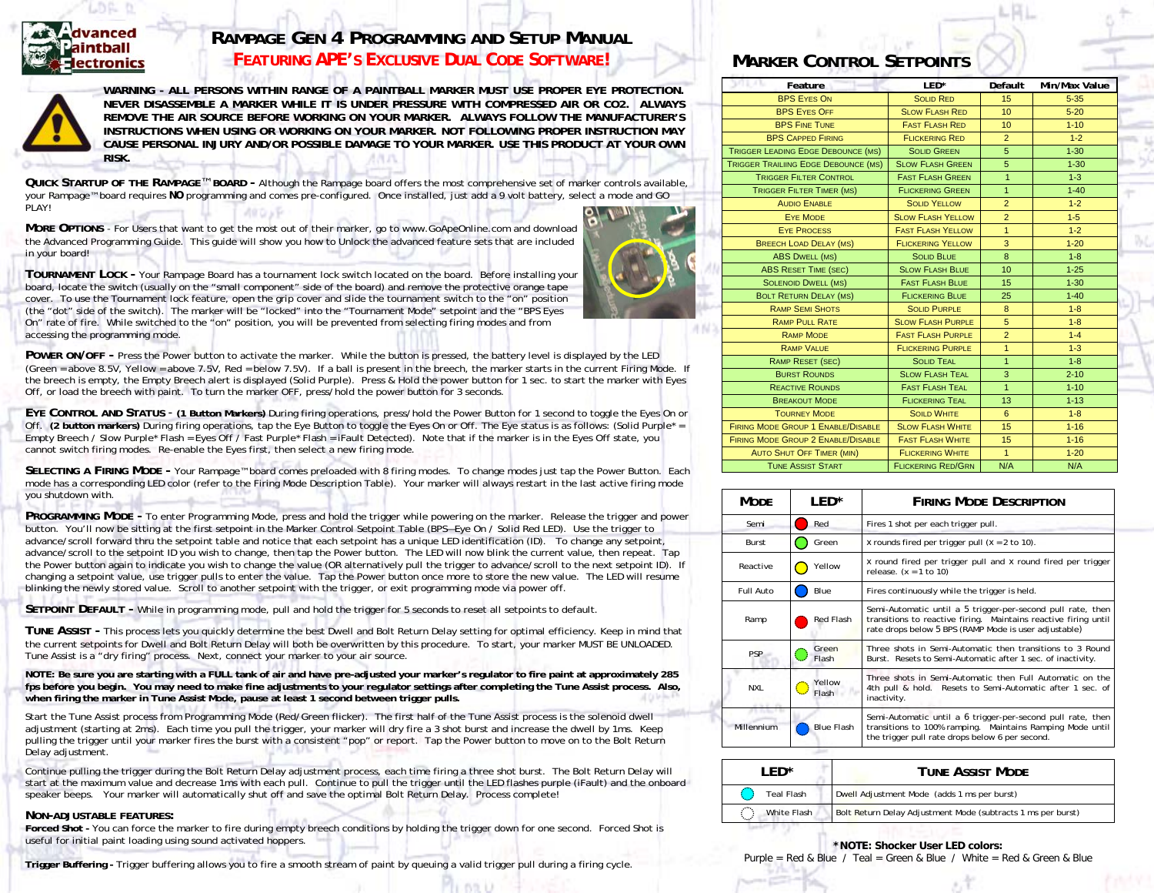

**RISK.** 

## **RAMPAGE GEN 4 PROGRAMMING AND SETUP MANUAL** *FEATURING APE'S EXCLUSIVE DUAL CODE SOFTWARE!*



**WARNING - ALL PERSONS WITHIN RANGE OF A PAINTBALL MARKER MUST USE PROPER EYE PROTECTION. NEVER DISASSEMBLE A MARKER WHILE IT IS UNDER PRESSURE WITH COMPRESSED AIR OR CO2. ALWAYS REMOVE THE AIR SOURCE BEFORE WORKING ON YOUR MARKER. ALWAYS FOLLOW THE MANUFACTURER'S INSTRUCTIONS WHEN USING OR WORKING ON YOUR MARKER. NOT FOLLOWING PROPER INSTRUCTION MAY CAUSE PERSONAL INJURY AND/OR POSSIBLE DAMAGE TO YOUR MARKER. USE THIS PRODUCT AT YOUR OWN** 

**QUICK STARTUP OF THE RAMPAGE**™ **BOARD -** Although the Rampage board offers the most comprehensive set of marker controls available, your Rampage™ board requires *NO* programming and comes pre-configured. Once installed, just add a 9 volt battery, select a mode and GO PLAY!

**MORE OPTIONS** - For Users that want to get the most out of their marker, go to www.GoApeOnline.com and download the Advanced Programming Guide. This guide will show you how to Unlock the advanced feature sets that are included in your board!

**TOURNAMENT LOCK -** Your Rampage Board has a tournament lock switch located on the board. Before installing your board, locate the switch (usually on the "small component" side of the board) and remove the protective orange tape cover. To use the Tournament lock feature, open the grip cover and slide the tournament switch to the "on" position (the "dot" side of the switch). The marker will be "locked" into the "Tournament Mode" setpoint and the "BPS Eyes On" rate of fire. While switched to the "on" position, you will be prevented from selecting firing modes and from accessing the programming mode.

**POWER ON/OFF -** Press the Power button to activate the marker. While the button is pressed, the battery level is displayed by the LED (Green = above 8.5V, Yellow = above 7.5V, Red = below 7.5V). If a ball is present in the breech, the marker starts in the current Firing Mode. If the breech is empty, the Empty Breech alert is displayed (Solid Purple). Press & Hold the power button for 1 sec. to start the marker with Eyes Off, or load the breech with paint. To turn the marker OFF, press/hold the power button for 3 seconds.

**EYE CONTROL AND STATUS** - **(1 Button Markers)** During firing operations, press/hold the Power Button for 1 second to toggle the Eyes On or Off. **(2 button markers)** During firing operations, tap the Eye Button to toggle the Eyes On or Off. The Eye status is as follows: (Solid Purple\* = Empty Breech / Slow Purple\* Flash = Eyes Off / Fast Purple\* Flash = iFault Detected). Note that if the marker is in the Eyes Off state, you cannot switch firing modes. Re-enable the Eyes first, then select a new firing mode.

**SELECTING A FIRING MODE -** Your Rampage™ board comes preloaded with 8 firing modes. To change modes just tap the Power Button. Each mode has a corresponding LED color (refer to the Firing Mode Description Table). Your marker will always restart in the last active firing mode you shutdown with.

**PROGRAMMING MODE -** To enter Programming Mode, press and hold the trigger while powering on the marker. Release the trigger and power button. You'll now be sitting at the first setpoint in the Marker Control Setpoint Table (BPS—Eye On / Solid Red LED). Use the trigger to advance/scroll forward thru the setpoint table and notice that each setpoint has a unique LED identification (ID). To change any setpoint, advance/scroll to the setpoint ID you wish to change, then tap the Power button. The LED will now blink the current value, then repeat. Tap the Power button again to indicate you wish to change the value (OR alternatively pull the trigger to advance/scroll to the next setpoint ID). If changing a setpoint value, use trigger pulls to enter the value. Tap the Power button once more to store the new value. The LED will resume blinking the newly stored value. Scroll to another setpoint with the trigger, or exit programming mode via power off.

**SETPOINT DEFAULT -** While in programming mode, pull and hold the trigger for 5 seconds to reset all setpoints to default.

**TUNE ASSIST -** This process lets you quickly determine the best Dwell and Bolt Return Delay setting for optimal efficiency. Keep in mind that the current setpoints for Dwell and Bolt Return Delay will both be overwritten by this procedure. To start, your marker MUST BE UNLOADED. Tune Assist is a "dry firing" process. Next, connect your marker to your air source.

**NOTE: Be sure you are starting with a FULL tank of air and have pre-adjusted your marker's regulator to fire paint at approximately 285 fps before you begin. You may need to make fine adjustments to your regulator settings after completing the Tune Assist process. Also, when firing the marker in Tune Assist Mode, pause at least 1 second between trigger pulls.** 

Start the Tune Assist process from Programming Mode (Red/Green flicker). The first half of the Tune Assist process is the solenoid dwell adjustment (starting at 2ms). Each time you pull the trigger, your marker will dry fire a 3 shot burst and increase the dwell by 1ms. Keep pulling the trigger until your marker fires the burst with a consistent "pop" or report. Tap the Power button to move on to the Bolt Return Delay adjustment.

Continue pulling the trigger during the Bolt Return Delay adjustment process, each time firing a three shot burst. The Bolt Return Delay will start at the maximum value and decrease 1ms with each pull. Continue to pull the trigger until the LED flashes purple (iFault) and the onboard speaker beeps. Your marker will automatically shut off and save the optimal Bolt Return Delay. Process complete!

### **NON-ADJUSTABLE FEATURES:**

**Forced Shot -** You can force the marker to fire during empty breech conditions by holding the trigger down for one second. Forced Shot is useful for initial paint loading using sound activated hoppers.

**Trigger Buffering -** Trigger buffering allows you to fire a smooth stream of paint by queuing a valid trigger pull during a firing cycle.

# **MARKER CONTROL SETPOINTS**

| VOI JTU<br>Feature                          | $LED*$                    | Default          | Min/Max Value |  |  |
|---------------------------------------------|---------------------------|------------------|---------------|--|--|
| <b>BPS EYES ON</b>                          | <b>SOLID RED</b>          | 15               | $5 - 35$      |  |  |
| <b>BPS EYES OFF</b>                         | <b>SLOW FLASH RED</b>     | 10 <sup>1</sup>  | $5 - 20$      |  |  |
| <b>BPS FINE TUNE</b>                        | <b>FAST FLASH RED</b>     | 10 <sup>10</sup> | $1 - 10$      |  |  |
| <b>BPS CAPPED FIRING</b>                    | <b>FLICKERING RED</b>     | $\overline{2}$   | $1 - 2$       |  |  |
| <b>TRIGGER LEADING EDGE DEBOUNCE (MS)</b>   | <b>SOLID GREEN</b>        | 5                | $1 - 30$      |  |  |
| <b>TRIGGER TRAILIING EDGE DEBOUNCE (MS)</b> | <b>SLOW FLASH GREEN</b>   | 5                | $1 - 30$      |  |  |
| <b>TRIGGER FILTER CONTROL</b>               | <b>FAST FLASH GREEN</b>   | 1                | $1 - 3$       |  |  |
| <b>TRIGGER FILTER TIMER (MS)</b>            | <b>FLICKERING GREEN</b>   | $\mathbf{1}$     | $1 - 40$      |  |  |
| <b>AUDIO ENABLE</b>                         | <b>SOLID YELLOW</b>       | $\overline{2}$   | $1 - 2$       |  |  |
| <b>EYE MODE</b>                             | <b>SLOW FLASH YELLOW</b>  | $\overline{2}$   | $1-5$         |  |  |
| <b>EYE PROCESS</b>                          | <b>FAST FLASH YELLOW</b>  | $\overline{1}$   | $1 - 2$       |  |  |
| <b>BREECH LOAD DELAY (MS)</b>               | <b>FLICKERING YELLOW</b>  | 3                | $1 - 20$      |  |  |
| <b>ABS DWELL (MS)</b>                       | <b>SOLID BLUE</b>         | 8                | $1 - 8$       |  |  |
| <b>ABS RESET TIME (SEC)</b>                 | <b>SLOW FLASH BLUE</b>    | 10               | $1 - 25$      |  |  |
| <b>SOLENOID DWELL (MS)</b>                  | <b>FAST FLASH BLUE</b>    | 15               | $1 - 30$      |  |  |
| <b>BOLT RETURN DELAY (MS)</b>               | <b>FLICKERING BLUE</b>    | 25               | $1 - 40$      |  |  |
| <b>RAMP SEMI SHOTS</b>                      | <b>SOLID PURPLE</b>       | 8                | $1 - 8$       |  |  |
| <b>RAMP PULL RATE</b>                       | <b>SLOW FLASH PURPLE</b>  | 5                | $1 - 8$       |  |  |
| <b>RAMP MODE</b>                            | <b>FAST FLASH PURPLE</b>  | $\overline{2}$   | $1 - 4$       |  |  |
| <b>RAMP VALUE</b>                           | <b>FLICKERING PURPLE</b>  | $\overline{1}$   | $1 - 3$       |  |  |
| RAMP RESET (SEC)                            | <b>SOLID TEAL</b>         | $\overline{1}$   | $1 - 8$       |  |  |
| <b>BURST ROUNDS</b>                         | <b>SLOW FLASH TEAL</b>    | 3                | $2 - 10$      |  |  |
| <b>REACTIVE ROUNDS</b>                      | <b>FAST FLASH TEAL</b>    | $\overline{1}$   | $1 - 10$      |  |  |
| <b>BREAKOUT MODE</b>                        | <b>FLICKERING TEAL</b>    | 13               | $1 - 13$      |  |  |
| <b>TOURNEY MODE</b>                         | <b>SOILD WHITE</b>        | 6                | $1 - 8$       |  |  |
| <b>FIRING MODE GROUP 1 ENABLE/DISABLE</b>   | <b>SLOW FLASH WHITE</b>   | 15               | $1 - 16$      |  |  |
| <b>FIRING MODE GROUP 2 ENABLE/DISABLE</b>   | <b>FAST FLASH WHITE</b>   | 15               | $1 - 16$      |  |  |
| <b>AUTO SHUT OFF TIMER (MIN)</b>            | <b>FLICKERING WHITE</b>   | $\mathbf{1}$     | $1 - 20$      |  |  |
| <b>TUNE ASSIST START</b>                    | <b>FLICKERING RED/GRN</b> | N/A              | N/A           |  |  |

| <b>MODE</b>      | LED*              | <b>FIRING MODE DESCRIPTION</b>                                                                                                                                                          |  |  |  |
|------------------|-------------------|-----------------------------------------------------------------------------------------------------------------------------------------------------------------------------------------|--|--|--|
| Semi             | Red               | Fires 1 shot per each trigger pull.                                                                                                                                                     |  |  |  |
| <b>Burst</b>     | Green             | x rounds fired per trigger pull $(x = 2$ to 10).                                                                                                                                        |  |  |  |
| Reactive         | Yellow            | $x$ round fired per trigger pull and $x$ round fired per trigger<br>release. $(x = 1 to 10)$                                                                                            |  |  |  |
| <b>Full Auto</b> | Blue              | Fires continuously while the trigger is held.                                                                                                                                           |  |  |  |
| Ramp             | Red Flash         | Semi-Automatic until a 5 trigger-per-second pull rate, then<br>transitions to reactive firing. Maintains reactive firing until<br>rate drops below 5 BPS (RAMP Mode is user adjustable) |  |  |  |
| <b>PSP</b>       | Green<br>Flash    | Three shots in Semi-Automatic then transitions to 3 Round<br>Burst. Resets to Semi-Automatic after 1 sec. of inactivity.                                                                |  |  |  |
| NXL              | Yellow<br>Flash   | Three shots in Semi-Automatic then Full Automatic on the<br>4th pull & hold. Resets to Semi-Automatic after 1 sec. of<br>inactivity.                                                    |  |  |  |
| Millennium       | <b>Blue Flash</b> | Semi-Automatic until a 6 trigger-per-second pull rate, then<br>transitions to 100% ramping. Maintains Ramping Mode until<br>the trigger pull rate drops below 6 per second.             |  |  |  |

| FD*               | <b>TUNE ASSIST MODE</b>                                      |  |  |  |  |
|-------------------|--------------------------------------------------------------|--|--|--|--|
| <b>Teal Flash</b> | Dwell Adjustment Mode (adds 1 ms per burst)                  |  |  |  |  |
| White Flash       | Bolt Return Delay Adjustment Mode (subtracts 1 ms per burst) |  |  |  |  |

### **\*NOTE: Shocker User LED colors:**

Purple = Red & Blue / Teal = Green & Blue / White = Red & Green & Blue